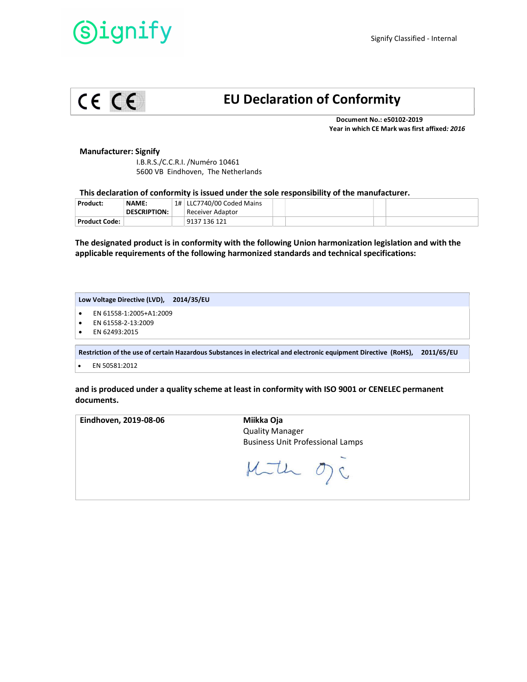## ignify



### EU Declaration of Conformity

 Document No.: e50102-2019 Year in which CE Mark was first affixed: 2016

#### Manufacturer: Signify

 I.B.R.S./C.C.R.I. /Numéro 10461 5600 VB Eindhoven, The Netherlands

#### This declaration of conformity is issued under the sole responsibility of the manufacturer.

| Product:        | <b>NAME:</b>        | 1#   LLC7740/00 Coded Mains |  |  |
|-----------------|---------------------|-----------------------------|--|--|
|                 | <b>DESCRIPTION:</b> | Receiver Adaptor            |  |  |
| Product Code: \ |                     | 9137 136 121                |  |  |

The designated product is in conformity with the following Union harmonization legislation and with the applicable requirements of the following harmonized standards and technical specifications:

#### Low Voltage Directive (LVD), 2014/35/EU

- EN 61558-1:2005+A1:2009
- EN 61558-2-13:2009
- EN 62493:2015

Restriction of the use of certain Hazardous Substances in electrical and electronic equipment Directive (RoHS), 2011/65/EU

EN 50581:2012

and is produced under a quality scheme at least in conformity with ISO 9001 or CENELEC permanent documents.

| Eindhoven, 2019-08-06 | Miikka Oja<br><b>Quality Manager</b><br><b>Business Unit Professional Lamps</b> |
|-----------------------|---------------------------------------------------------------------------------|
|                       | Much vy.                                                                        |